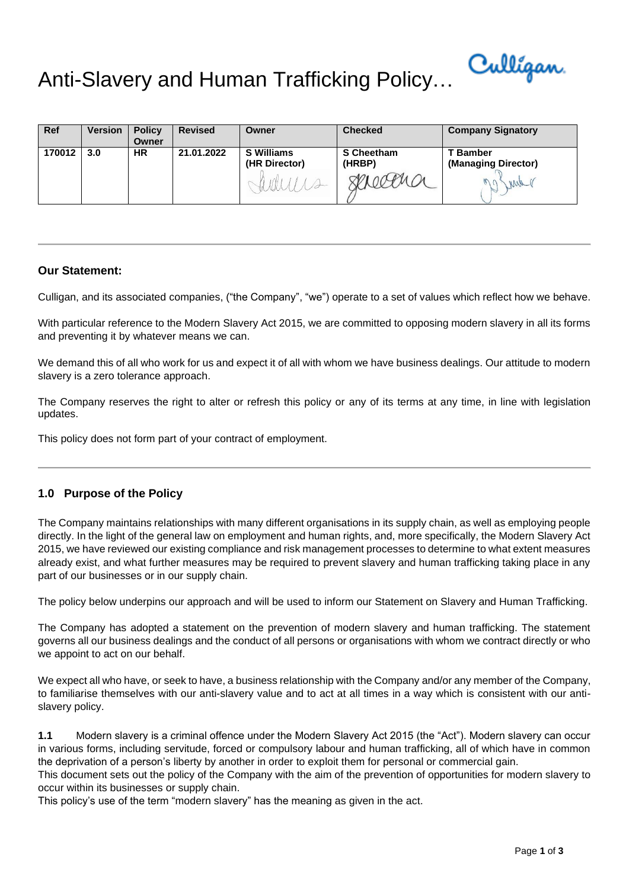

# Anti-Slavery and Human Trafficking Policy…

| <b>Ref</b> | <b>Version</b> | <b>Policy</b><br>Owner | <b>Revised</b> | Owner                              | <b>Checked</b>       | <b>Company Signatory</b>                       |
|------------|----------------|------------------------|----------------|------------------------------------|----------------------|------------------------------------------------|
| 170012     | 3.0            | <b>HR</b>              | 21.01.2022     | <b>S</b> Williams<br>(HR Director) | S Cheetham<br>(HRBP) | <b>T</b> Bamber<br>(Managing Director)<br>Mill |

### **Our Statement:**

Culligan, and its associated companies, ("the Company", "we") operate to a set of values which reflect how we behave.

With particular reference to the Modern Slavery Act 2015, we are committed to opposing modern slavery in all its forms and preventing it by whatever means we can.

We demand this of all who work for us and expect it of all with whom we have business dealings. Our attitude to modern slavery is a zero tolerance approach.

The Company reserves the right to alter or refresh this policy or any of its terms at any time, in line with legislation updates.

This policy does not form part of your contract of employment.

# **1.0 Purpose of the Policy**

The Company maintains relationships with many different organisations in its supply chain, as well as employing people directly. In the light of the general law on employment and human rights, and, more specifically, the Modern Slavery Act 2015, we have reviewed our existing compliance and risk management processes to determine to what extent measures already exist, and what further measures may be required to prevent slavery and human trafficking taking place in any part of our businesses or in our supply chain.

The policy below underpins our approach and will be used to inform our Statement on Slavery and Human Trafficking.

The Company has adopted a statement on the prevention of modern slavery and human trafficking. The statement governs all our business dealings and the conduct of all persons or organisations with whom we contract directly or who we appoint to act on our behalf.

We expect all who have, or seek to have, a business relationship with the Company and/or any member of the Company, to familiarise themselves with our anti-slavery value and to act at all times in a way which is consistent with our antislavery policy.

**1.1** Modern slavery is a criminal offence under the Modern Slavery Act 2015 (the "Act"). Modern slavery can occur in various forms, including servitude, forced or compulsory labour and human trafficking, all of which have in common the deprivation of a person's liberty by another in order to exploit them for personal or commercial gain.

This document sets out the policy of the Company with the aim of the prevention of opportunities for modern slavery to occur within its businesses or supply chain.

This policy's use of the term "modern slavery" has the meaning as given in the act.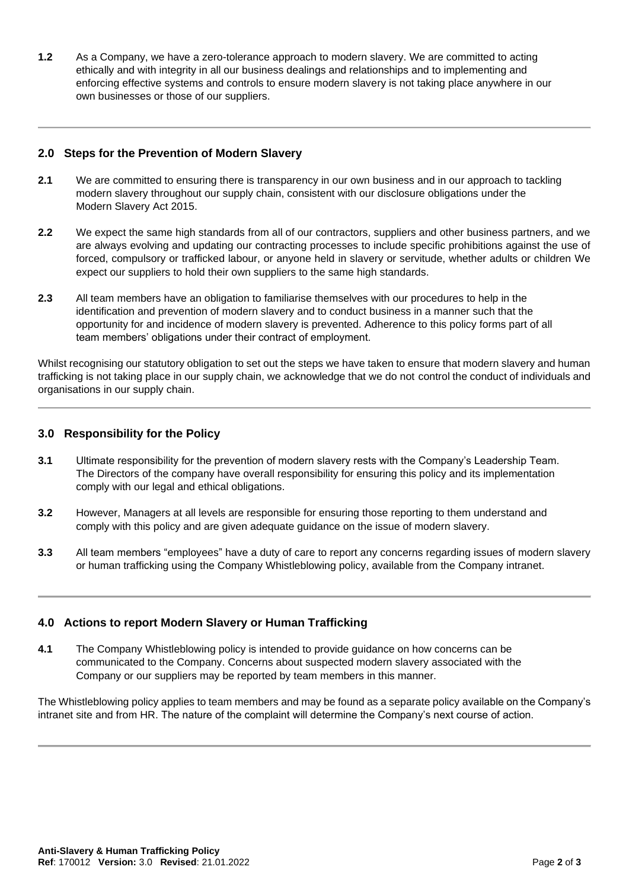**1.2** As a Company, we have a zero-tolerance approach to modern slavery. We are committed to acting ethically and with integrity in all our business dealings and relationships and to implementing and enforcing effective systems and controls to ensure modern slavery is not taking place anywhere in our own businesses or those of our suppliers.

### **2.0 Steps for the Prevention of Modern Slavery**

- **2.1** We are committed to ensuring there is transparency in our own business and in our approach to tackling modern slavery throughout our supply chain, consistent with our disclosure obligations under the Modern Slavery Act 2015.
- **2.2** We expect the same high standards from all of our contractors, suppliers and other business partners, and we are always evolving and updating our contracting processes to include specific prohibitions against the use of forced, compulsory or trafficked labour, or anyone held in slavery or servitude, whether adults or children We expect our suppliers to hold their own suppliers to the same high standards.
- **2.3** All team members have an obligation to familiarise themselves with our procedures to help in the identification and prevention of modern slavery and to conduct business in a manner such that the opportunity for and incidence of modern slavery is prevented. Adherence to this policy forms part of all team members' obligations under their contract of employment.

Whilst recognising our statutory obligation to set out the steps we have taken to ensure that modern slavery and human trafficking is not taking place in our supply chain, we acknowledge that we do not control the conduct of individuals and organisations in our supply chain.

### **3.0 Responsibility for the Policy**

- **3.1** Ultimate responsibility for the prevention of modern slavery rests with the Company's Leadership Team. The Directors of the company have overall responsibility for ensuring this policy and its implementation comply with our legal and ethical obligations.
- **3.2** However, Managers at all levels are responsible for ensuring those reporting to them understand and comply with this policy and are given adequate guidance on the issue of modern slavery.
- **3.3** All team members "employees" have a duty of care to report any concerns regarding issues of modern slavery or human trafficking using the Company Whistleblowing policy, available from the Company intranet.

# **4.0 Actions to report Modern Slavery or Human Trafficking**

**4.1** The Company Whistleblowing policy is intended to provide guidance on how concerns can be communicated to the Company. Concerns about suspected modern slavery associated with the Company or our suppliers may be reported by team members in this manner.

The Whistleblowing policy applies to team members and may be found as a separate policy available on the Company's intranet site and from HR. The nature of the complaint will determine the Company's next course of action.